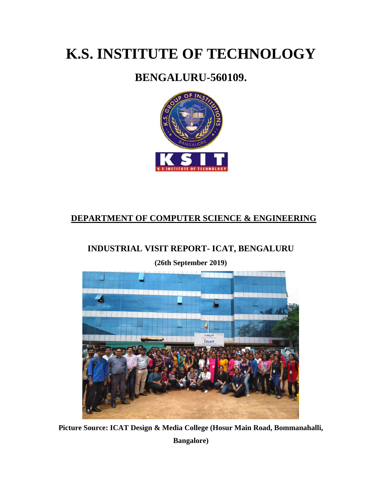# **K.S. INSTITUTE OF TECHNOLOGY**

# **BENGALURU-560109.**



# **DEPARTMENT OF COMPUTER SCIENCE & ENGINEERING**

## **INDUSTRIAL VISIT REPORT- ICAT, BENGALURU**

**(26th September 2019)**



**Picture Source: ICAT Design & Media College (Hosur Main Road, Bommanahalli, Bangalore)**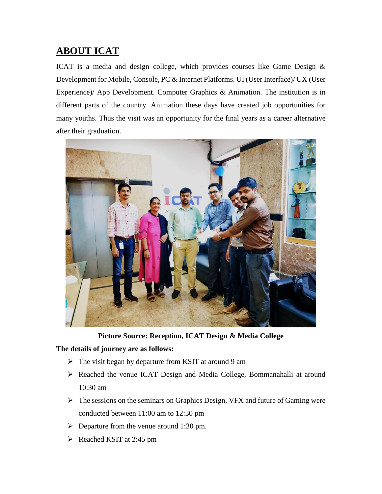# **ABOUT ICAT**

ICAT is a media and design college, which provides courses like Game Design & Development for Mobile, Console, PC & Internet Platforms. UI (User Interface)/ UX (User Experience)/ App Development. Computer Graphics & Animation. The institution is in different parts of the country. Animation these days have created job opportunities for many youths. Thus the visit was an opportunity for the final years as a career alternative after their graduation.



**Picture Source: Reception, ICAT Design & Media College**

#### **The details of journey are as follows:**

- $\triangleright$  The visit began by departure from KSIT at around 9 am
- Reached the venue ICAT Design and Media College, Bommanahalli at around 10:30 am
- $\triangleright$  The sessions on the seminars on Graphics Design, VFX and future of Gaming were conducted between 11:00 am to 12:30 pm
- $\triangleright$  Departure from the venue around 1:30 pm.
- $\triangleright$  Reached KSIT at 2:45 pm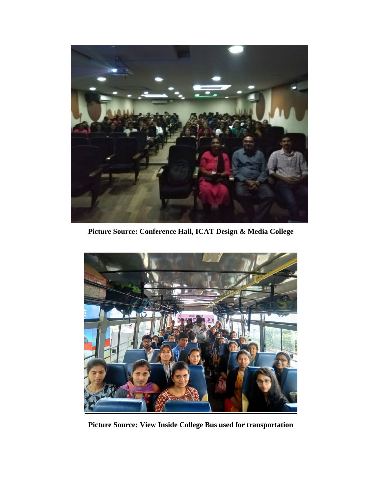

**Picture Source: Conference Hall, ICAT Design & Media College**



**Picture Source: View Inside College Bus used for transportation**